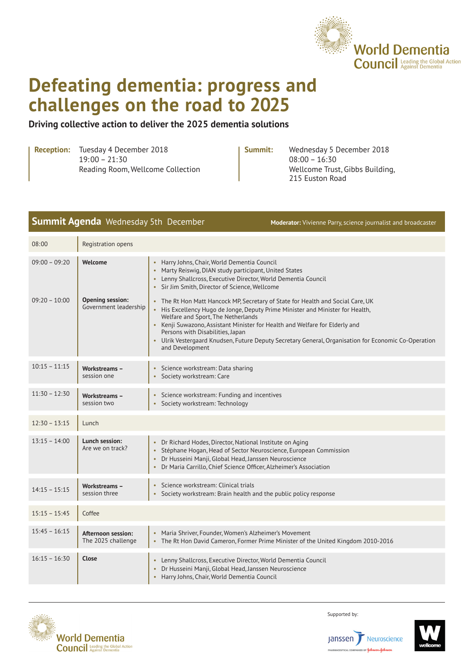

# **Defeating dementia: progress and challenges on the road to 2025**

### **Driving collective action to deliver the 2025 dementia solutions**

**Reception:** Tuesday 4 December 2018 19:00 – 21:30 Reading Room, Wellcome Collection

**Summit:** Wednesday 5 December 2018 08:00 – 16:30 Wellcome Trust, Gibbs Building, 215 Euston Road

|                                    | <b>Summit Agenda</b> Wednesday 5th December                 |                                                                                                                                                                                                                                                                                                                                                                                                                                                                                                                                                                       | Moderator: Vivienne Parry, science journalist and broadcaster                                        |
|------------------------------------|-------------------------------------------------------------|-----------------------------------------------------------------------------------------------------------------------------------------------------------------------------------------------------------------------------------------------------------------------------------------------------------------------------------------------------------------------------------------------------------------------------------------------------------------------------------------------------------------------------------------------------------------------|------------------------------------------------------------------------------------------------------|
| 08:00                              | Registration opens                                          |                                                                                                                                                                                                                                                                                                                                                                                                                                                                                                                                                                       |                                                                                                      |
| $09:00 - 09:20$<br>$09:20 - 10:00$ | Welcome<br><b>Opening session:</b><br>Government leadership | Harry Johns, Chair, World Dementia Council<br>Marty Reiswig, DIAN study participant, United States<br>• Lenny Shallcross, Executive Director, World Dementia Council<br>• Sir Jim Smith, Director of Science, Wellcome<br>. The Rt Hon Matt Hancock MP, Secretary of State for Health and Social Care, UK<br>His Excellency Hugo de Jonge, Deputy Prime Minister and Minister for Health,<br>Welfare and Sport, The Netherlands<br>• Kenji Suwazono, Assistant Minister for Health and Welfare for Elderly and<br>Persons with Disabilities, Japan<br>and Development | · Ulrik Vestergaard Knudsen, Future Deputy Secretary General, Organisation for Economic Co-Operation |
| $10:15 - 11:15$                    | <b>Workstreams -</b><br>session one                         | Science workstream: Data sharing<br>• Society workstream: Care                                                                                                                                                                                                                                                                                                                                                                                                                                                                                                        |                                                                                                      |
| $11:30 - 12:30$                    | Workstreams -<br>session two                                | • Science workstream: Funding and incentives<br>• Society workstream: Technology                                                                                                                                                                                                                                                                                                                                                                                                                                                                                      |                                                                                                      |
| $12:30 - 13:15$                    | Lunch                                                       |                                                                                                                                                                                                                                                                                                                                                                                                                                                                                                                                                                       |                                                                                                      |
| $13:15 - 14:00$                    | Lunch session:<br>Are we on track?                          | Dr Richard Hodes, Director, National Institute on Aging<br>• Stéphane Hogan, Head of Sector Neuroscience, European Commission<br>· Dr Husseini Manji, Global Head, Janssen Neuroscience<br>Dr Maria Carrillo, Chief Science Officer, Alzheimer's Association                                                                                                                                                                                                                                                                                                          |                                                                                                      |
| $14:15 - 15:15$                    | Workstreams -<br>session three                              | Science workstream: Clinical trials<br>$\bullet$<br>• Society workstream: Brain health and the public policy response                                                                                                                                                                                                                                                                                                                                                                                                                                                 |                                                                                                      |
| $15:15 - 15:45$                    | Coffee                                                      |                                                                                                                                                                                                                                                                                                                                                                                                                                                                                                                                                                       |                                                                                                      |
| $15:45 - 16:15$                    | Afternoon session:<br>The 2025 challenge                    | • Maria Shriver, Founder, Women's Alzheimer's Movement<br>• The Rt Hon David Cameron, Former Prime Minister of the United Kingdom 2010-2016                                                                                                                                                                                                                                                                                                                                                                                                                           |                                                                                                      |
| $16:15 - 16:30$                    | Close                                                       | Lenny Shallcross, Executive Director, World Dementia Council<br>Dr Husseini Manji, Global Head, Janssen Neuroscience<br>Harry Johns, Chair, World Dementia Council                                                                                                                                                                                                                                                                                                                                                                                                    |                                                                                                      |



Supported by: